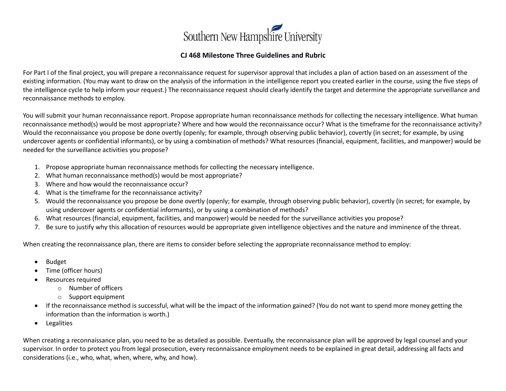

## **CJ 468 Milestone Three Guidelines and Rubric**

For Part I of the final project, you will prepare a reconnaissance request for supervisor approval that includes a plan of action based on an assessment of the existing information. (You may want to draw on the analysis of the information in the intelligence report you created earlier in the course, using the five steps of the intelligence cycle to help inform your request.) The reconnaissance request should clearly identify the target and determine the appropriate surveillance and reconnaissance methods to employ.

You will submit your human reconnaissance report. Propose appropriate human reconnaissance methods for collecting the necessary intelligence. What human reconnaissance method(s) would be most appropriate? Where and how would the reconnaissance occur? What is the timeframe for the reconnaissance activity? Would the reconnaissance you propose be done overtly (openly; for example, through observing public behavior), covertly (in secret; for example, by using undercover agents or confidential informants), or by using a combination of methods? What resources (financial, equipment, facilities, and manpower) would be needed for the surveillance activities you propose?

- 1. Propose appropriate human reconnaissance methods for collecting the necessary intelligence.
- 2. What human reconnaissance method(s) would be most appropriate?
- 3. Where and how would the reconnaissance occur?
- 4. What is the timeframe for the reconnaissance activity?
- 5. Would the reconnaissance you propose be done overtly (openly; for example, through observing public behavior), covertly (in secret; for example, by using undercover agents or confidential informants), or by using a combination of methods?
- 6. What resources (financial, equipment, facilities, and manpower) would be needed for the surveillance activities you propose?
- 7. Be sure to justify why this allocation of resources would be appropriate given intelligence objectives and the nature and imminence of the threat.

When creating the reconnaissance plan, there are items to consider before selecting the appropriate reconnaissance method to employ:

- Budget
- Time (officer hours)
- Resources required
	- o Number of officers
	- o Support equipment
- If the reconnaissance method is successful, what will be the impact of the information gained? (You do not want to spend more money getting the information than the information is worth.)
- Legalities

When creating a reconnaissance plan, you need to be as detailed as possible. Eventually, the reconnaissance plan will be approved by legal counsel and your supervisor. In order to protect you from legal prosecution, every reconnaissance employment needs to be explained in great detail, addressing all facts and considerations (i.e., who, what, when, where, why, and how).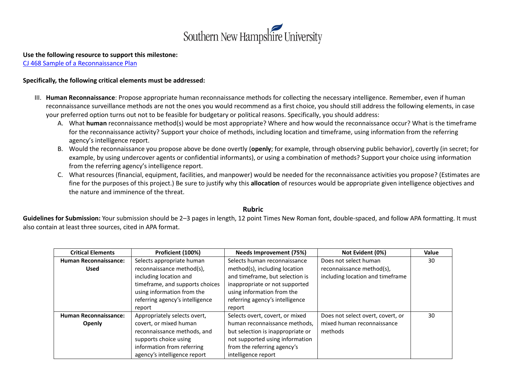

## **Use the following resource to support this milestone:**

[CJ 468 Sample of a Reconnaissance](http://snhu-media.snhu.edu/files/course_repository/undergraduate/cj/cj468/cj468_sample_of_a_reconnaissance_plan.docx) Plan

## **Specifically, the following critical elements must be addressed:**

- III. **Human Reconnaissance**: Propose appropriate human reconnaissance methods for collecting the necessary intelligence. Remember, even if human reconnaissance surveillance methods are not the ones you would recommend as a first choice, you should still address the following elements, in case your preferred option turns out not to be feasible for budgetary or political reasons. Specifically, you should address:
	- A. What **human** reconnaissance method(s) would be most appropriate? Where and how would the reconnaissance occur? What is the timeframe for the reconnaissance activity? Support your choice of methods, including location and timeframe, using information from the referring agency's intelligence report.
	- B. Would the reconnaissance you propose above be done overtly (**openly**; for example, through observing public behavior), covertly (in secret; for example, by using undercover agents or confidential informants), or using a combination of methods? Support your choice using information from the referring agency's intelligence report.
	- C. What resources (financial, equipment, facilities, and manpower) would be needed for the reconnaissance activities you propose? (Estimates are fine for the purposes of this project.) Be sure to justify why this **allocation** of resources would be appropriate given intelligence objectives and the nature and imminence of the threat.

## **Rubric**

**Guidelines for Submission:** Your submission should be 2–3 pages in length, 12 point Times New Roman font, double-spaced, and follow APA formatting. It must also contain at least three sources, cited in APA format.

| <b>Critical Elements</b>     | Proficient (100%)               | Needs Improvement (75%)           | Not Evident (0%)                  | Value |
|------------------------------|---------------------------------|-----------------------------------|-----------------------------------|-------|
| <b>Human Reconnaissance:</b> | Selects appropriate human       | Selects human reconnaissance      | Does not select human             | 30    |
| <b>Used</b>                  | reconnaissance method(s),       | method(s), including location     | reconnaissance method(s),         |       |
|                              | including location and          | and timeframe, but selection is   | including location and timeframe  |       |
|                              | timeframe, and supports choices | inappropriate or not supported    |                                   |       |
|                              | using information from the      | using information from the        |                                   |       |
|                              | referring agency's intelligence | referring agency's intelligence   |                                   |       |
|                              | report                          | report                            |                                   |       |
| <b>Human Reconnaissance:</b> | Appropriately selects overt,    | Selects overt, covert, or mixed   | Does not select overt, covert, or | 30    |
| Openly                       | covert, or mixed human          | human reconnaissance methods,     | mixed human reconnaissance        |       |
|                              | reconnaissance methods, and     | but selection is inappropriate or | methods                           |       |
|                              | supports choice using           | not supported using information   |                                   |       |
|                              | information from referring      | from the referring agency's       |                                   |       |
|                              | agency's intelligence report    | intelligence report               |                                   |       |